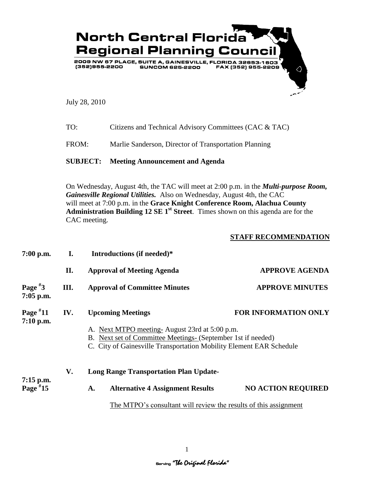

July 28, 2010

| TO: | Citizens and Technical Advisory Committees (CAC & TAC) |
|-----|--------------------------------------------------------|
|-----|--------------------------------------------------------|

FROM: Marlie Sanderson, Director of Transportation Planning

## **SUBJECT: Meeting Announcement and Agenda**

On Wednesday, August 4th, the TAC will meet at 2:00 p.m. in the *Multi-purpose Room, Gainesville Regional Utilities.* Also on Wednesday, August 4th, the CAC will meet at 7:00 p.m. in the **Grace Knight Conference Room, Alachua County Administration Building 12 SE 1st Street**. Times shown on this agenda are for the CAC meeting.

## **STAFF RECOMMENDATION**

| 7:00 p.m.                 | I.  | Introductions (if needed)*                                                                                                                                                                                                                      |                           |  |  |  |
|---------------------------|-----|-------------------------------------------------------------------------------------------------------------------------------------------------------------------------------------------------------------------------------------------------|---------------------------|--|--|--|
|                           | П.  | <b>Approval of Meeting Agenda</b>                                                                                                                                                                                                               | <b>APPROVE AGENDA</b>     |  |  |  |
| Page $*3$<br>$7:05$ p.m.  | Ш.  | <b>APPROVE MINUTES</b><br><b>Approval of Committee Minutes</b>                                                                                                                                                                                  |                           |  |  |  |
| Page $*11$<br>7:10 p.m.   | IV. | <b>FOR INFORMATION ONLY</b><br><b>Upcoming Meetings</b><br>A. Next MTPO meeting-August 23rd at 5:00 p.m.<br>B. Next set of Committee Meetings- (September 1st if needed)<br>C. City of Gainesville Transportation Mobility Element EAR Schedule |                           |  |  |  |
| $7:15$ p.m.<br>Page $*15$ | V.  | <b>Long Range Transportation Plan Update-</b>                                                                                                                                                                                                   |                           |  |  |  |
|                           |     | <b>Alternative 4 Assignment Results</b><br>A.                                                                                                                                                                                                   | <b>NO ACTION REQUIRED</b> |  |  |  |
|                           |     | The MTPO's consultant will review the results of this assignment                                                                                                                                                                                |                           |  |  |  |